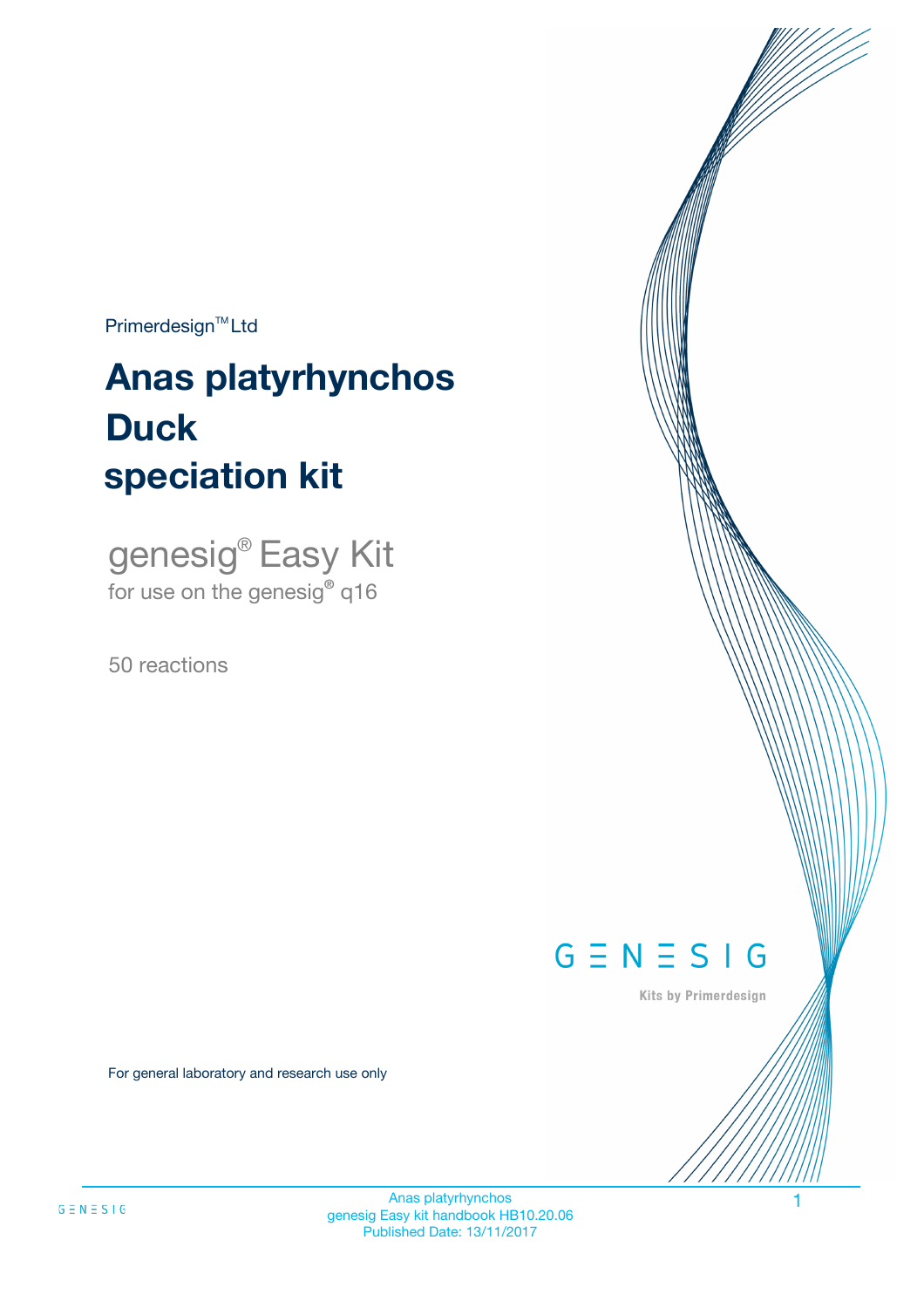$Primerdesign^{\text{TM}}Ltd$ 

# **Anas platyrhynchos speciation kit Duck**

genesig® Easy Kit for use on the genesig**®** q16

50 reactions



Kits by Primerdesign

For general laboratory and research use only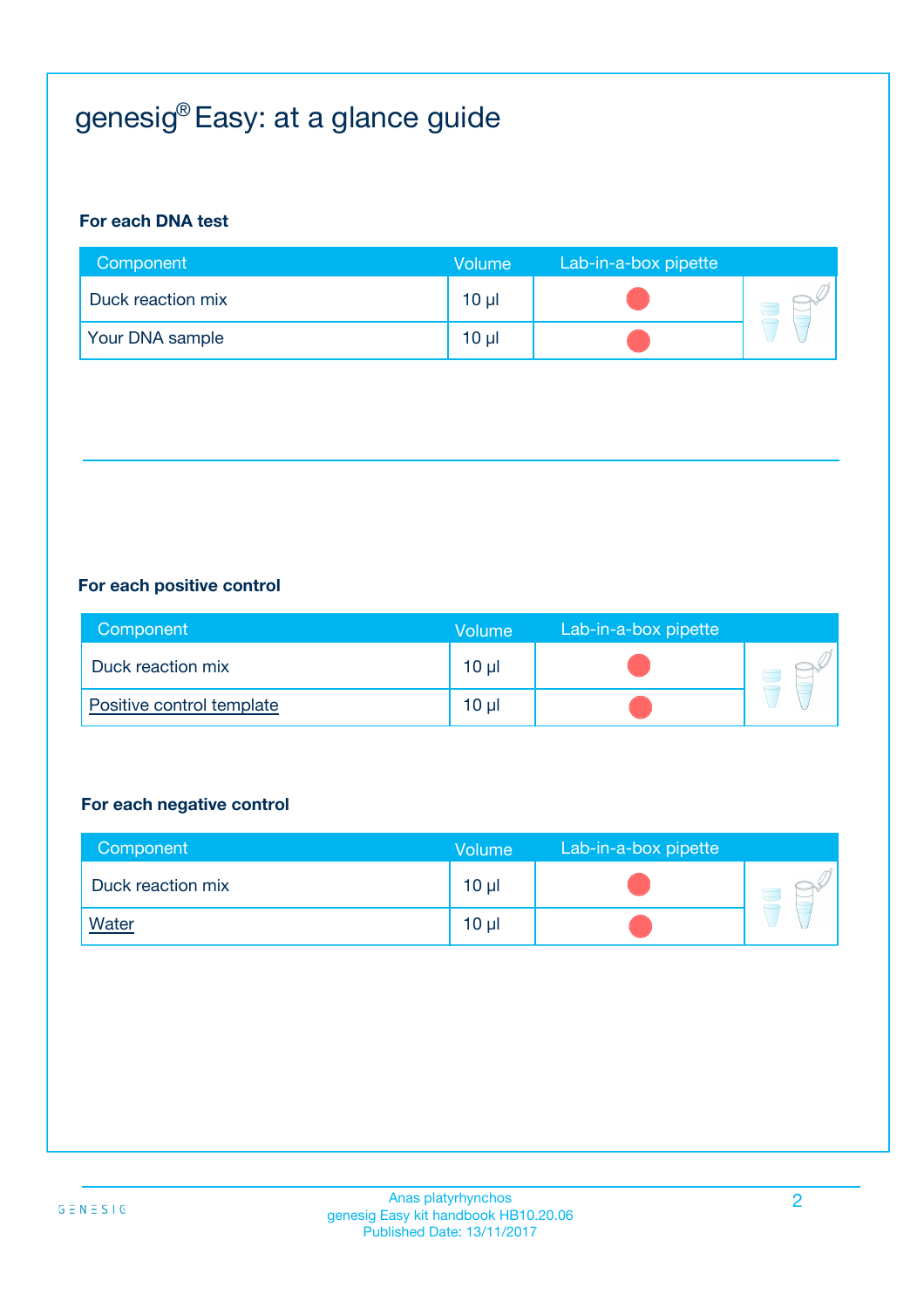# genesig® Easy: at a glance guide

#### **For each DNA test**

| Component         | <b>Volume</b>   | Lab-in-a-box pipette |  |
|-------------------|-----------------|----------------------|--|
| Duck reaction mix | $10 \mu$        |                      |  |
| Your DNA sample   | 10 <sub>µ</sub> |                      |  |

#### **For each positive control**

| Component                 | <b>Volume</b> | Lab-in-a-box pipette |  |
|---------------------------|---------------|----------------------|--|
| Duck reaction mix         | 10 µl         |                      |  |
| Positive control template | 10 µl         |                      |  |

#### **For each negative control**

| Component         | <b>Volume</b>   | Lab-in-a-box pipette |  |
|-------------------|-----------------|----------------------|--|
| Duck reaction mix | $10 \mu$        |                      |  |
| <b>Water</b>      | 10 <sub>µ</sub> |                      |  |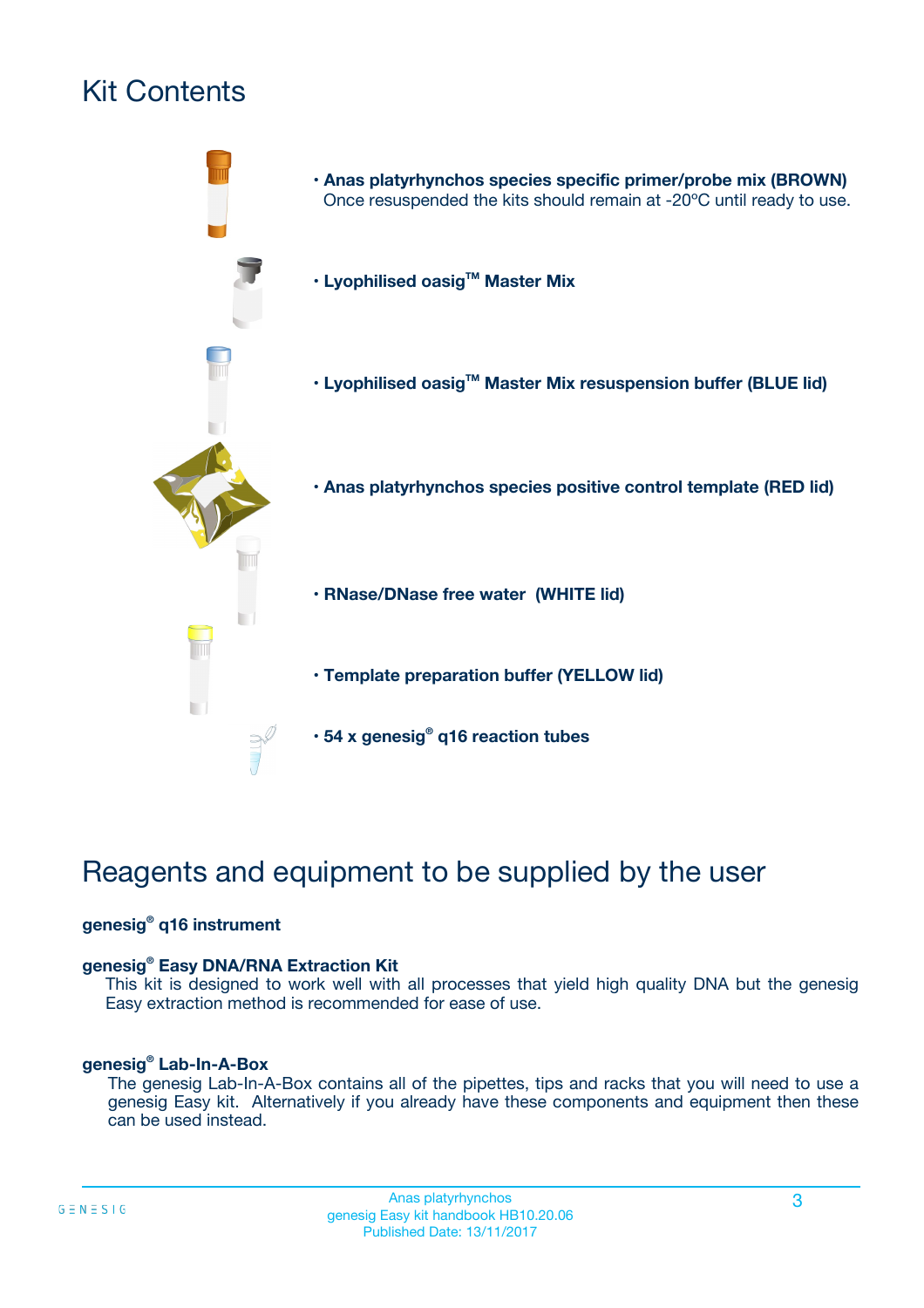# Kit Contents



# Reagents and equipment to be supplied by the user

#### **genesig® q16 instrument**

#### **genesig® Easy DNA/RNA Extraction Kit**

This kit is designed to work well with all processes that yield high quality DNA but the genesig Easy extraction method is recommended for ease of use.

#### **genesig® Lab-In-A-Box**

The genesig Lab-In-A-Box contains all of the pipettes, tips and racks that you will need to use a genesig Easy kit. Alternatively if you already have these components and equipment then these can be used instead.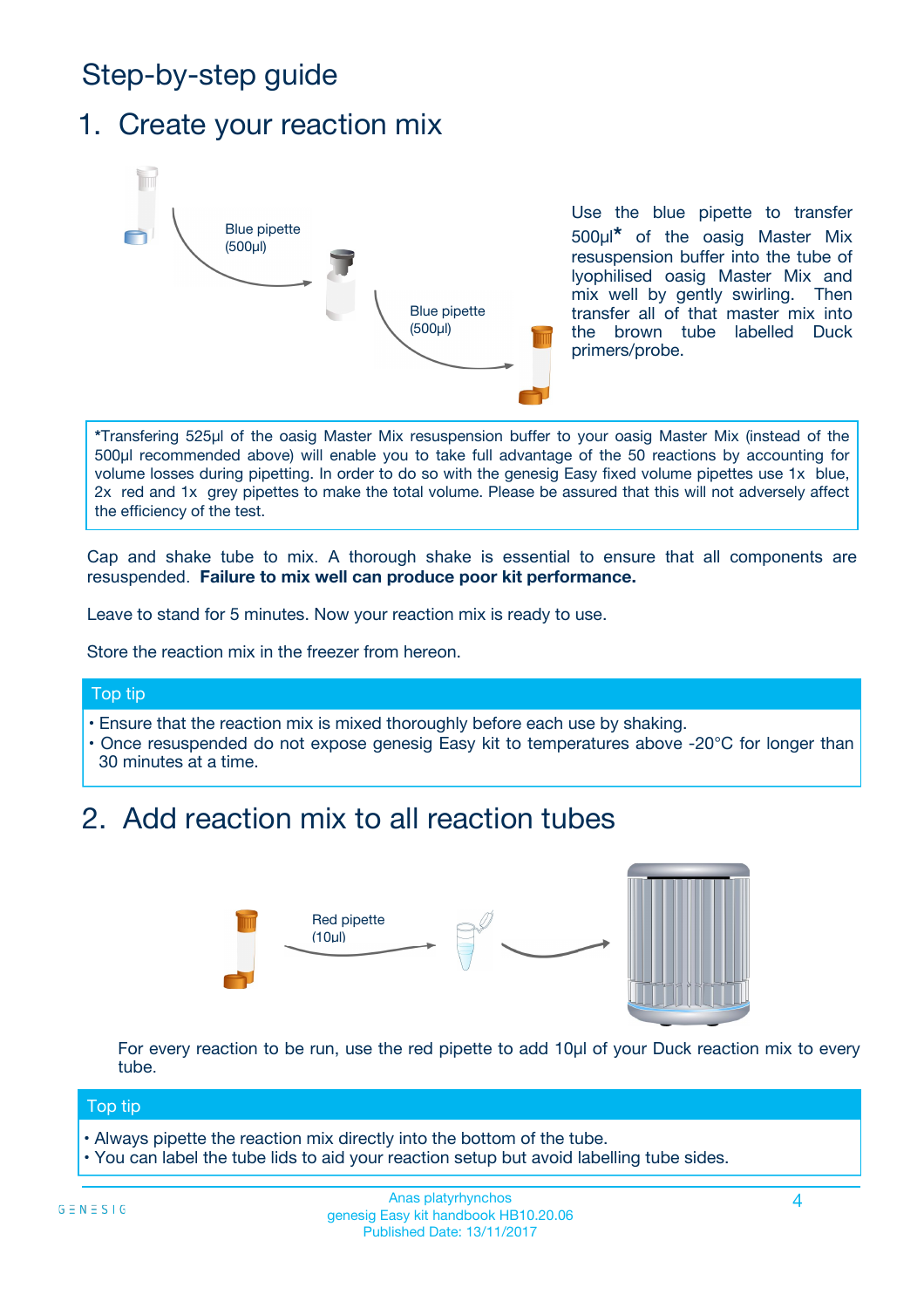# Step-by-step guide

### 1. Create your reaction mix



Use the blue pipette to transfer 500µl**\*** of the oasig Master Mix resuspension buffer into the tube of lyophilised oasig Master Mix and mix well by gently swirling. Then transfer all of that master mix into the brown tube labelled Duck primers/probe.

**\***Transfering 525µl of the oasig Master Mix resuspension buffer to your oasig Master Mix (instead of the 500µl recommended above) will enable you to take full advantage of the 50 reactions by accounting for volume losses during pipetting. In order to do so with the genesig Easy fixed volume pipettes use 1x blue, 2x red and 1x grey pipettes to make the total volume. Please be assured that this will not adversely affect the efficiency of the test.

Cap and shake tube to mix. A thorough shake is essential to ensure that all components are resuspended. **Failure to mix well can produce poor kit performance.**

Leave to stand for 5 minutes. Now your reaction mix is ready to use.

Store the reaction mix in the freezer from hereon.

#### Top tip

- Ensure that the reaction mix is mixed thoroughly before each use by shaking.
- **•** Once resuspended do not expose genesig Easy kit to temperatures above -20°C for longer than 30 minutes at a time.

## 2. Add reaction mix to all reaction tubes



For every reaction to be run, use the red pipette to add 10µl of your Duck reaction mix to every tube.

#### Top tip

- Always pipette the reaction mix directly into the bottom of the tube.
- You can label the tube lids to aid your reaction setup but avoid labelling tube sides.

#### Anas platyrhynchos and the set of the set of the set of the set of the set of the set of the set of the set of the set of the set of the set of the set of the set of the set of the set of the set of the set of the set of t genesig Easy kit handbook HB10.20.06 Published Date: 13/11/2017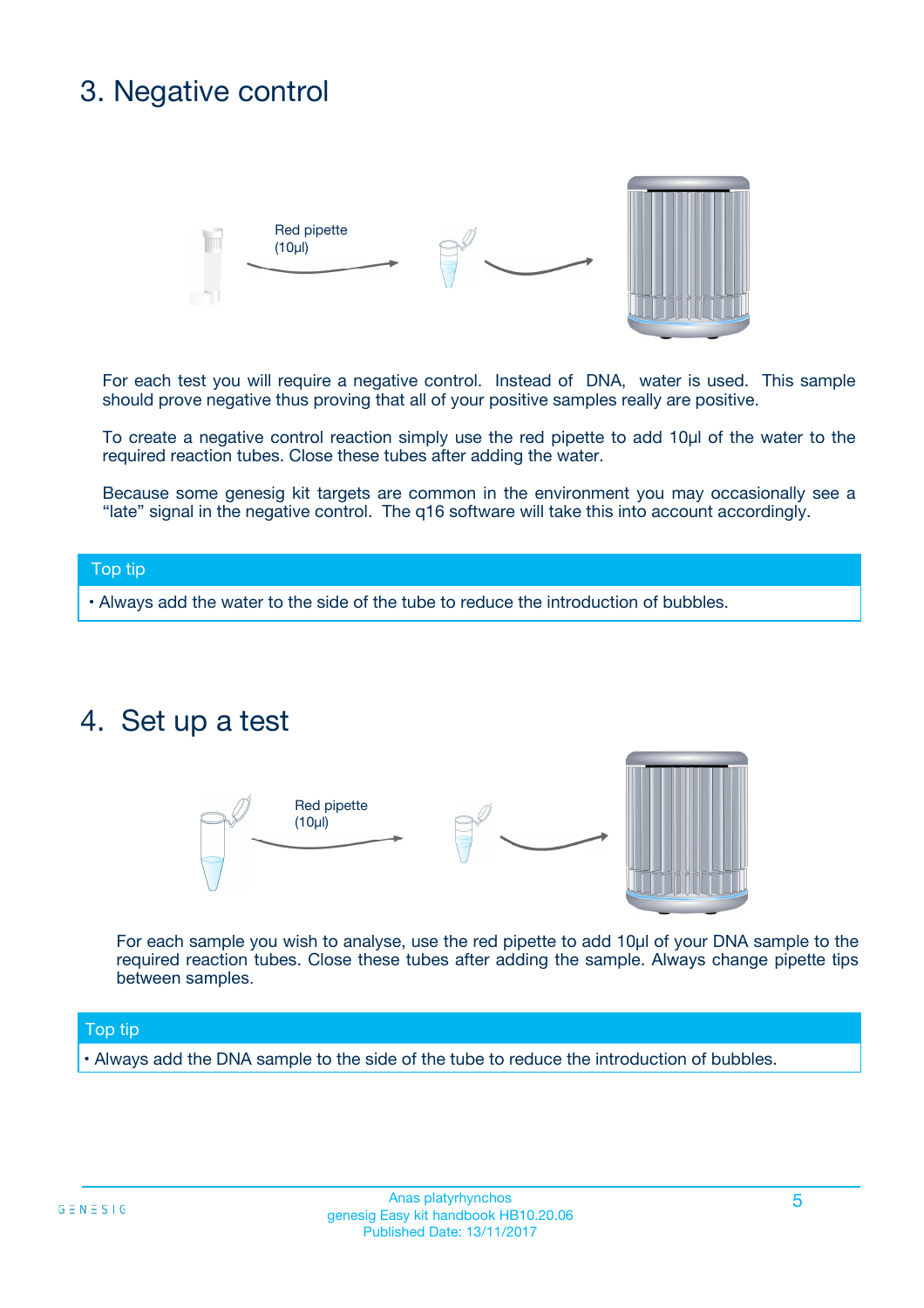# 3. Negative control



For each test you will require a negative control. Instead of DNA, water is used. This sample should prove negative thus proving that all of your positive samples really are positive.

To create a negative control reaction simply use the red pipette to add 10µl of the water to the required reaction tubes. Close these tubes after adding the water.

Because some genesig kit targets are common in the environment you may occasionally see a "late" signal in the negative control. The q16 software will take this into account accordingly.

#### Top tip

**•** Always add the water to the side of the tube to reduce the introduction of bubbles.

### 4. Set up a test



For each sample you wish to analyse, use the red pipette to add 10µl of your DNA sample to the required reaction tubes. Close these tubes after adding the sample. Always change pipette tips between samples.

#### Top tip

**•** Always add the DNA sample to the side of the tube to reduce the introduction of bubbles.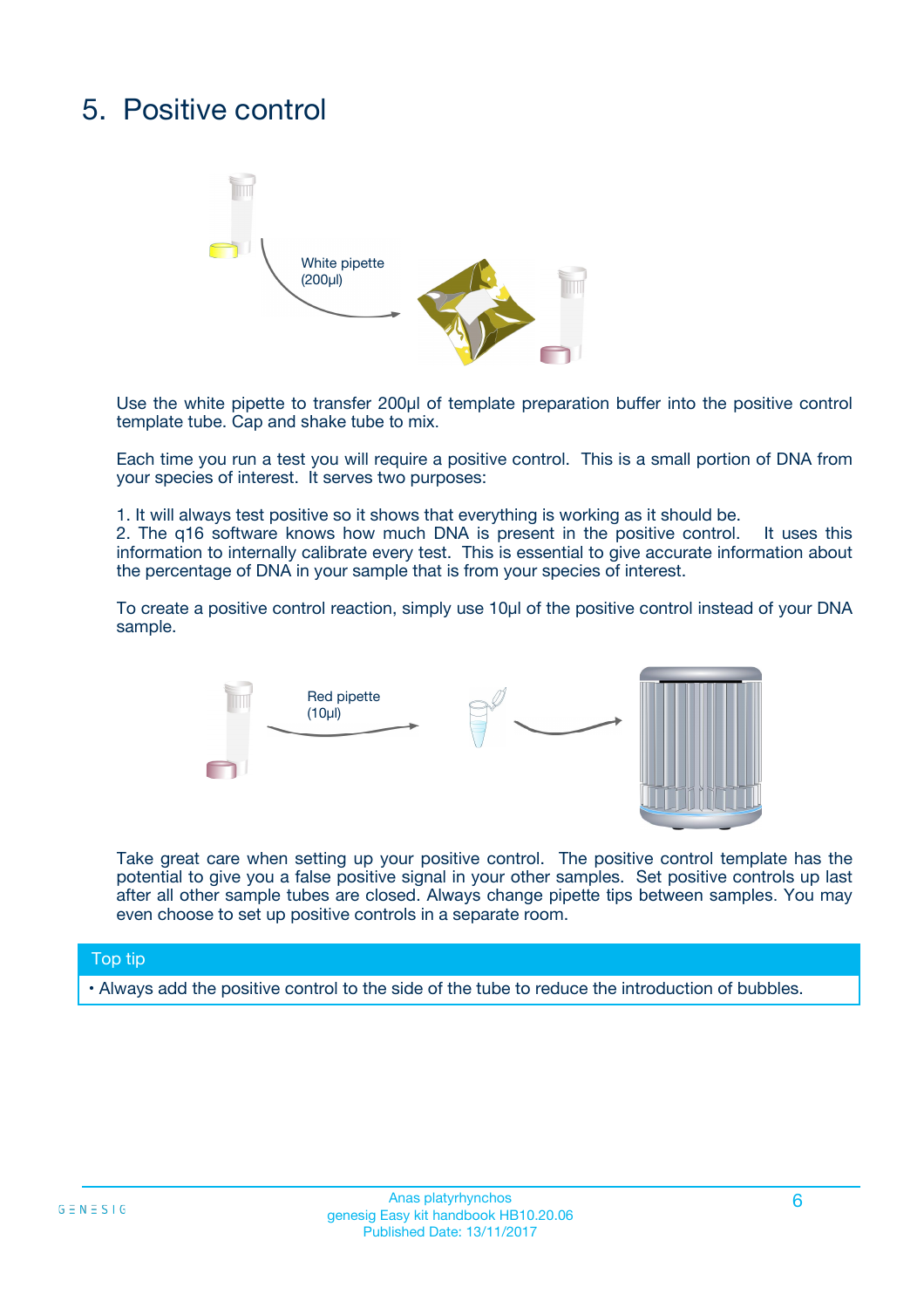# 5. Positive control



Use the white pipette to transfer 200µl of template preparation buffer into the positive control template tube. Cap and shake tube to mix.

Each time you run a test you will require a positive control. This is a small portion of DNA from your species of interest. It serves two purposes:

1. It will always test positive so it shows that everything is working as it should be.

2. The q16 software knows how much DNA is present in the positive control. It uses this information to internally calibrate every test. This is essential to give accurate information about the percentage of DNA in your sample that is from your species of interest.

To create a positive control reaction, simply use 10µl of the positive control instead of your DNA sample.



Take great care when setting up your positive control. The positive control template has the potential to give you a false positive signal in your other samples. Set positive controls up last after all other sample tubes are closed. Always change pipette tips between samples. You may even choose to set up positive controls in a separate room.

#### Top tip

**•** Always add the positive control to the side of the tube to reduce the introduction of bubbles.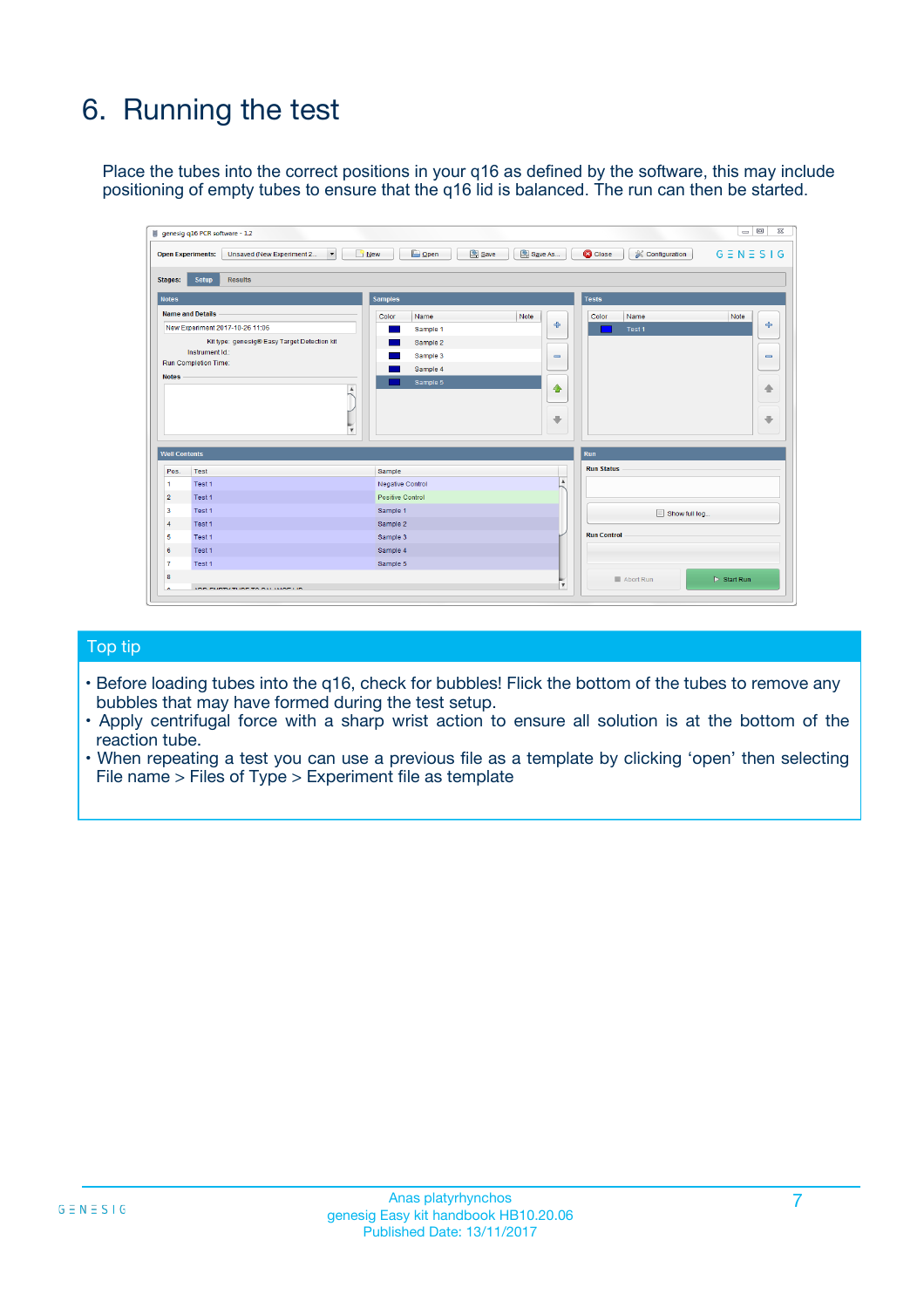# 6. Running the test

Place the tubes into the correct positions in your q16 as defined by the software, this may include positioning of empty tubes to ensure that the q16 lid is balanced. The run can then be started.

|                                    | genesig q16 PCR software - 1.2                                                    |                                     |                              |                                   | $\Box$<br>$\Sigma$           |
|------------------------------------|-----------------------------------------------------------------------------------|-------------------------------------|------------------------------|-----------------------------------|------------------------------|
|                                    | <b>Open Experiments:</b><br>Unsaved (New Experiment 2<br>$\overline{\phantom{a}}$ | <b>E</b> Open<br>Save<br>$\Box$ New | Save As                      | <b>C</b> Close<br>& Configuration | $G \equiv N \equiv S \mid G$ |
| Stages:                            | Setup<br><b>Results</b>                                                           |                                     |                              |                                   |                              |
| <b>Notes</b>                       |                                                                                   | <b>Samples</b>                      |                              | <b>Tests</b>                      |                              |
|                                    | <b>Name and Details</b>                                                           | Color<br>Name                       | Note                         | Color<br>Name                     | Note                         |
|                                    | New Experiment 2017-10-26 11:06                                                   | Sample 1                            | 유                            | Test <sub>1</sub>                 | ÷                            |
|                                    | Kit type: genesig® Easy Target Detection kit                                      | Sample 2                            |                              |                                   |                              |
|                                    | Instrument Id.:                                                                   | Sample 3                            | $\qquad \qquad \blacksquare$ |                                   | $\qquad \qquad \blacksquare$ |
|                                    | <b>Run Completion Time:</b>                                                       | Sample 4                            |                              |                                   |                              |
| <b>Notes</b>                       | $\blacktriangle$                                                                  | Sample 5                            | ♠<br>÷                       |                                   | 41<br>€                      |
| <b>Well Contents</b>               | $\overline{\mathbf{v}}$                                                           |                                     |                              | <b>Run</b>                        |                              |
| Pos.                               | <b>Test</b>                                                                       | Sample                              |                              | <b>Run Status</b>                 |                              |
| 1                                  | Test 1                                                                            | <b>Negative Control</b>             | $\blacktriangle$             |                                   |                              |
| $\overline{2}$                     | Test 1                                                                            | <b>Positive Control</b>             |                              |                                   |                              |
| 3                                  | Test 1                                                                            | Sample 1                            |                              | Show full log                     |                              |
|                                    | Test 1                                                                            | Sample 2                            |                              |                                   |                              |
|                                    |                                                                                   | Sample 3                            |                              | <b>Run Control</b>                |                              |
|                                    | Test 1                                                                            |                                     |                              |                                   |                              |
|                                    | Test 1                                                                            | Sample 4                            |                              |                                   |                              |
|                                    | Test 1                                                                            | Sample 5                            |                              |                                   |                              |
| 4<br>5<br>6<br>$\overline{7}$<br>8 |                                                                                   |                                     | $\overline{\mathbf v}$       | Abort Run                         | $\triangleright$ Start Run   |

#### Top tip

- Before loading tubes into the q16, check for bubbles! Flick the bottom of the tubes to remove any bubbles that may have formed during the test setup.
- Apply centrifugal force with a sharp wrist action to ensure all solution is at the bottom of the reaction tube.
- When repeating a test you can use a previous file as a template by clicking 'open' then selecting File name > Files of Type > Experiment file as template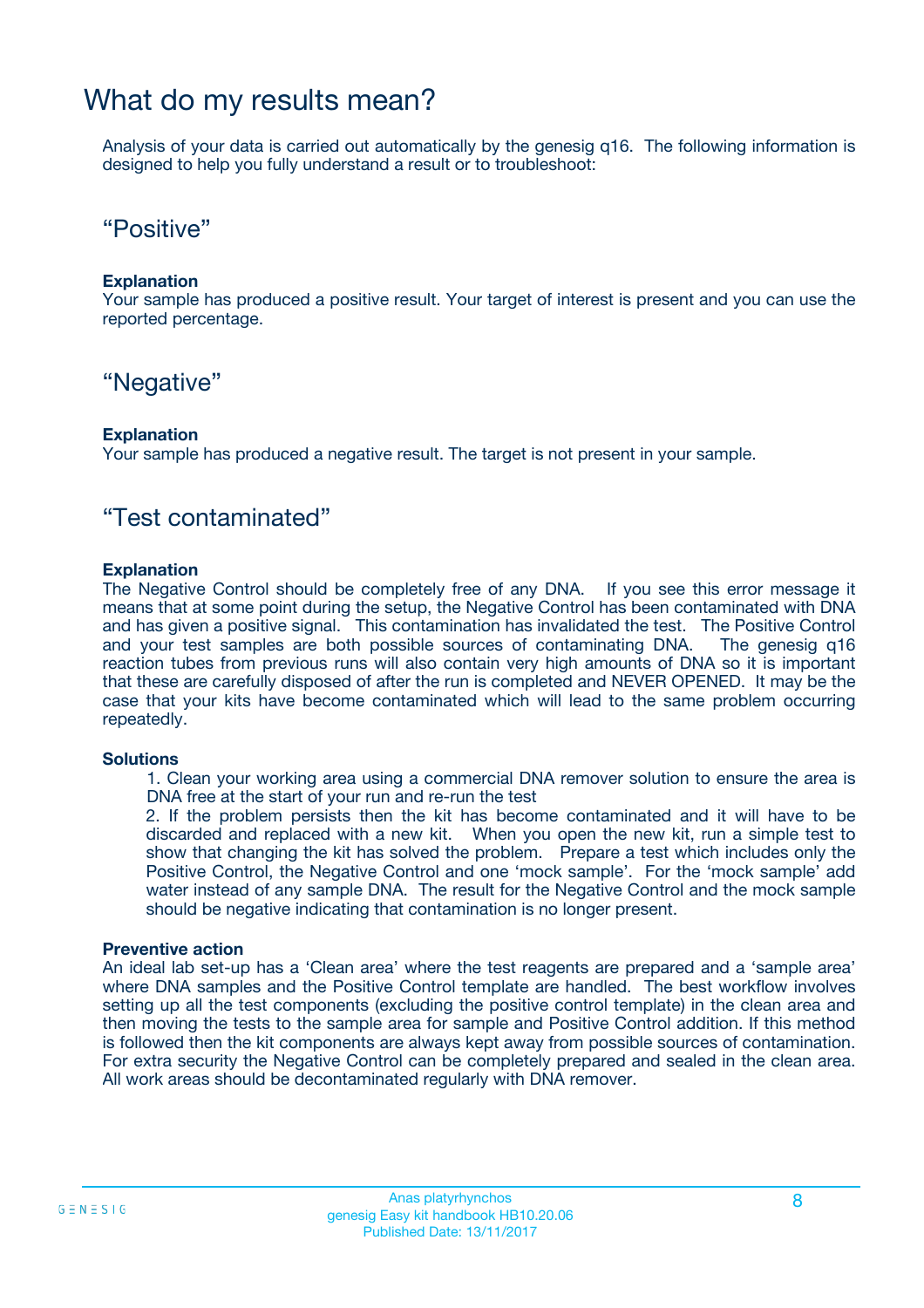### What do my results mean?

Analysis of your data is carried out automatically by the genesig q16. The following information is designed to help you fully understand a result or to troubleshoot:

### "Positive"

#### **Explanation**

Your sample has produced a positive result. Your target of interest is present and you can use the reported percentage.

### "Negative"

#### **Explanation**

Your sample has produced a negative result. The target is not present in your sample.

### "Test contaminated"

#### **Explanation**

The Negative Control should be completely free of any DNA. If you see this error message it means that at some point during the setup, the Negative Control has been contaminated with DNA and has given a positive signal. This contamination has invalidated the test. The Positive Control and your test samples are both possible sources of contaminating DNA. The genesig q16 reaction tubes from previous runs will also contain very high amounts of DNA so it is important that these are carefully disposed of after the run is completed and NEVER OPENED. It may be the case that your kits have become contaminated which will lead to the same problem occurring repeatedly.

#### **Solutions**

1. Clean your working area using a commercial DNA remover solution to ensure the area is DNA free at the start of your run and re-run the test

2. If the problem persists then the kit has become contaminated and it will have to be discarded and replaced with a new kit. When you open the new kit, run a simple test to show that changing the kit has solved the problem. Prepare a test which includes only the Positive Control, the Negative Control and one 'mock sample'. For the 'mock sample' add water instead of any sample DNA. The result for the Negative Control and the mock sample should be negative indicating that contamination is no longer present.

#### **Preventive action**

An ideal lab set-up has a 'Clean area' where the test reagents are prepared and a 'sample area' where DNA samples and the Positive Control template are handled. The best workflow involves setting up all the test components (excluding the positive control template) in the clean area and then moving the tests to the sample area for sample and Positive Control addition. If this method is followed then the kit components are always kept away from possible sources of contamination. For extra security the Negative Control can be completely prepared and sealed in the clean area. All work areas should be decontaminated regularly with DNA remover.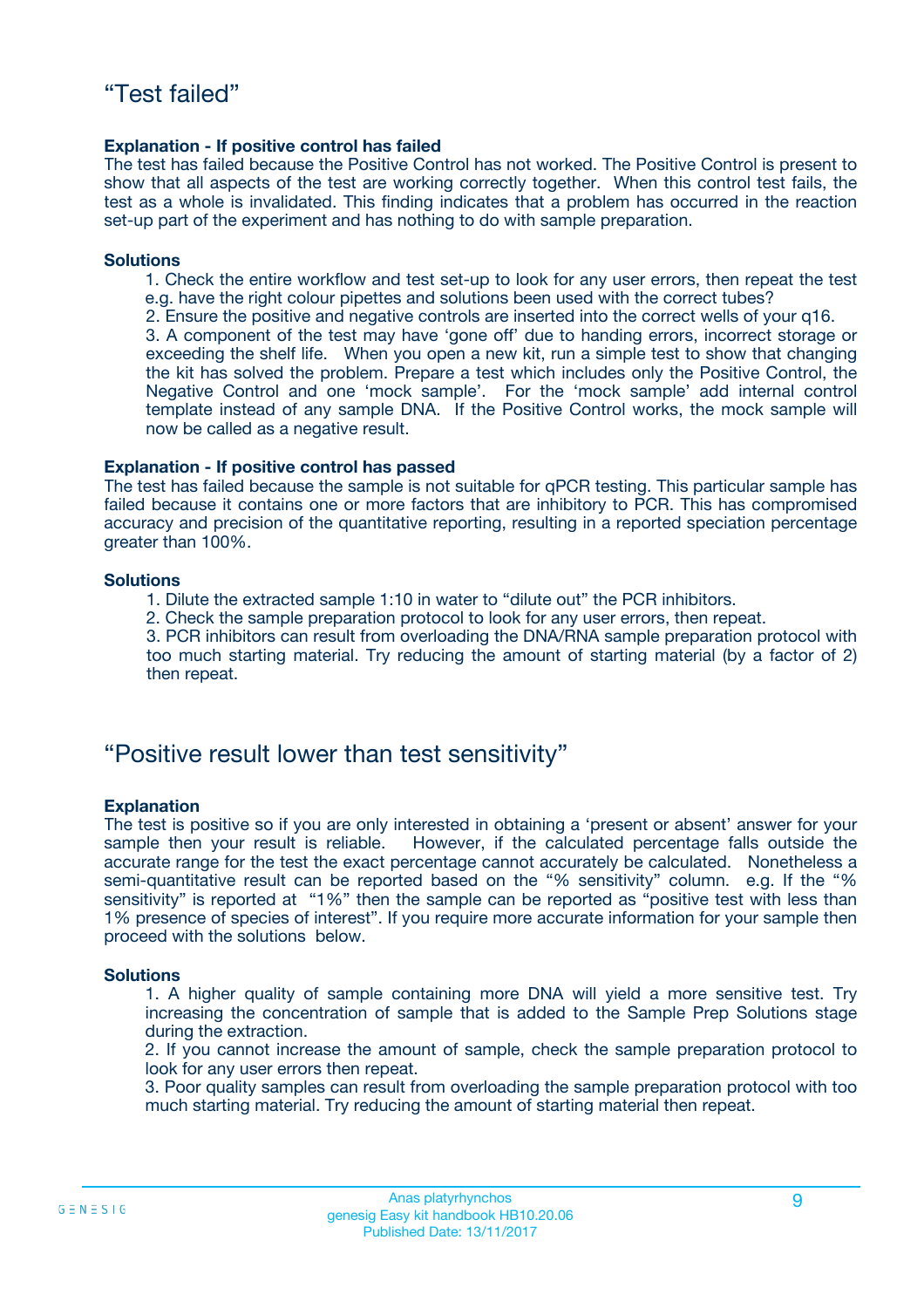#### **Explanation - If positive control has failed**

The test has failed because the Positive Control has not worked. The Positive Control is present to show that all aspects of the test are working correctly together. When this control test fails, the test as a whole is invalidated. This finding indicates that a problem has occurred in the reaction set-up part of the experiment and has nothing to do with sample preparation.

#### **Solutions**

- 1. Check the entire workflow and test set-up to look for any user errors, then repeat the test e.g. have the right colour pipettes and solutions been used with the correct tubes?
- 2. Ensure the positive and negative controls are inserted into the correct wells of your q16.

3. A component of the test may have 'gone off' due to handing errors, incorrect storage or exceeding the shelf life. When you open a new kit, run a simple test to show that changing the kit has solved the problem. Prepare a test which includes only the Positive Control, the Negative Control and one 'mock sample'. For the 'mock sample' add internal control template instead of any sample DNA. If the Positive Control works, the mock sample will now be called as a negative result.

#### **Explanation - If positive control has passed**

The test has failed because the sample is not suitable for qPCR testing. This particular sample has failed because it contains one or more factors that are inhibitory to PCR. This has compromised accuracy and precision of the quantitative reporting, resulting in a reported speciation percentage greater than 100%.

#### **Solutions**

- 1. Dilute the extracted sample 1:10 in water to "dilute out" the PCR inhibitors.
- 2. Check the sample preparation protocol to look for any user errors, then repeat.

3. PCR inhibitors can result from overloading the DNA/RNA sample preparation protocol with too much starting material. Try reducing the amount of starting material (by a factor of 2) then repeat.

### "Positive result lower than test sensitivity"

#### **Explanation**

The test is positive so if you are only interested in obtaining a 'present or absent' answer for your sample then your result is reliable. However, if the calculated percentage falls outside the accurate range for the test the exact percentage cannot accurately be calculated. Nonetheless a semi-quantitative result can be reported based on the "% sensitivity" column. e.g. If the "% sensitivity" is reported at "1%" then the sample can be reported as "positive test with less than 1% presence of species of interest". If you require more accurate information for your sample then proceed with the solutions below.

#### **Solutions**

1. A higher quality of sample containing more DNA will yield a more sensitive test. Try increasing the concentration of sample that is added to the Sample Prep Solutions stage during the extraction.

2. If you cannot increase the amount of sample, check the sample preparation protocol to look for any user errors then repeat.

3. Poor quality samples can result from overloading the sample preparation protocol with too much starting material. Try reducing the amount of starting material then repeat.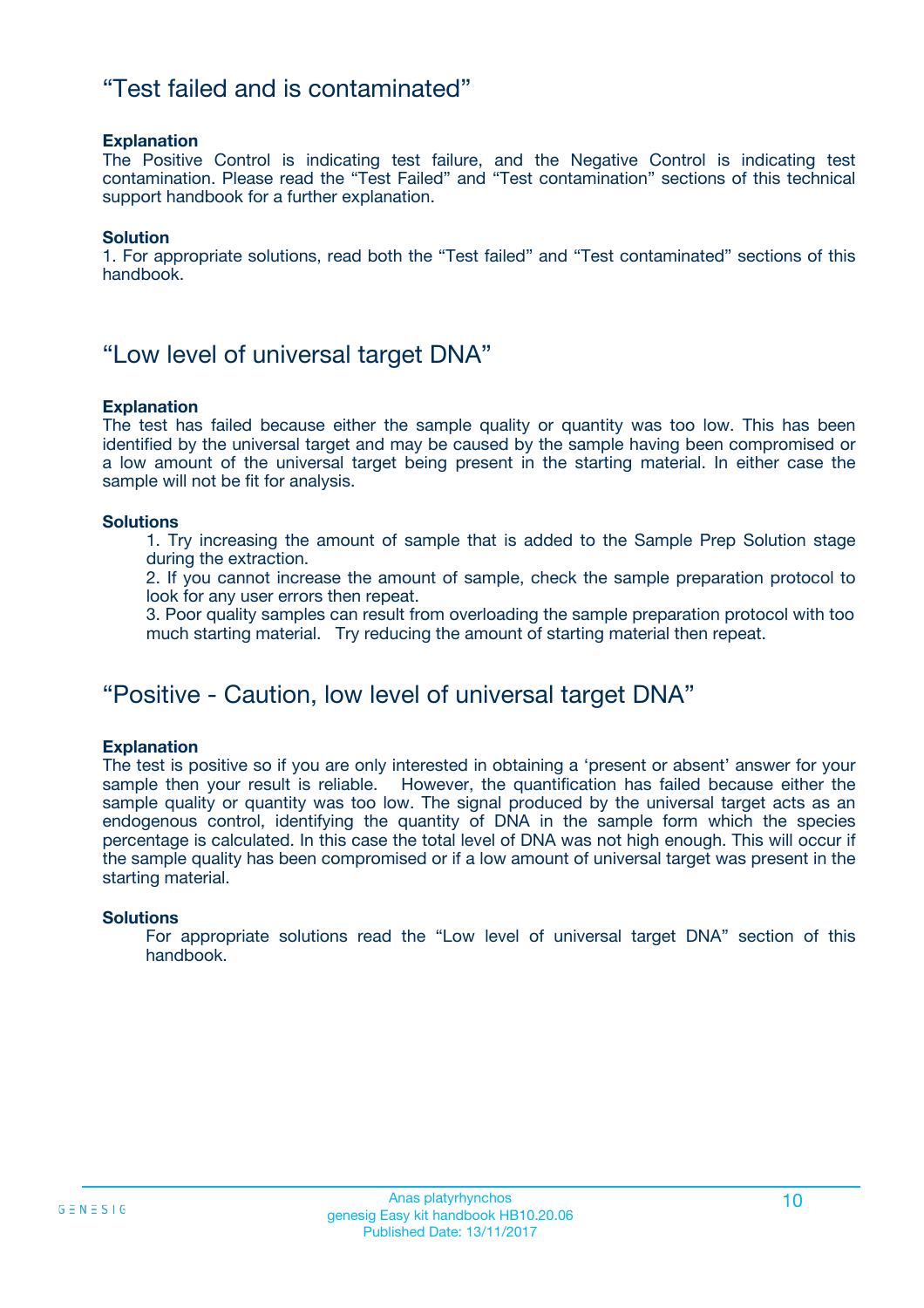### "Test failed and is contaminated"

#### **Explanation**

The Positive Control is indicating test failure, and the Negative Control is indicating test contamination. Please read the "Test Failed" and "Test contamination" sections of this technical support handbook for a further explanation.

#### **Solution**

1. For appropriate solutions, read both the "Test failed" and "Test contaminated" sections of this handbook.

### "Low level of universal target DNA"

#### **Explanation**

The test has failed because either the sample quality or quantity was too low. This has been identified by the universal target and may be caused by the sample having been compromised or a low amount of the universal target being present in the starting material. In either case the sample will not be fit for analysis.

#### **Solutions**

1. Try increasing the amount of sample that is added to the Sample Prep Solution stage during the extraction.

2. If you cannot increase the amount of sample, check the sample preparation protocol to look for any user errors then repeat.

3. Poor quality samples can result from overloading the sample preparation protocol with too much starting material. Try reducing the amount of starting material then repeat.

### "Positive - Caution, low level of universal target DNA"

#### **Explanation**

The test is positive so if you are only interested in obtaining a 'present or absent' answer for your sample then your result is reliable. However, the quantification has failed because either the sample quality or quantity was too low. The signal produced by the universal target acts as an endogenous control, identifying the quantity of DNA in the sample form which the species percentage is calculated. In this case the total level of DNA was not high enough. This will occur if the sample quality has been compromised or if a low amount of universal target was present in the starting material.

#### **Solutions**

For appropriate solutions read the "Low level of universal target DNA" section of this handbook.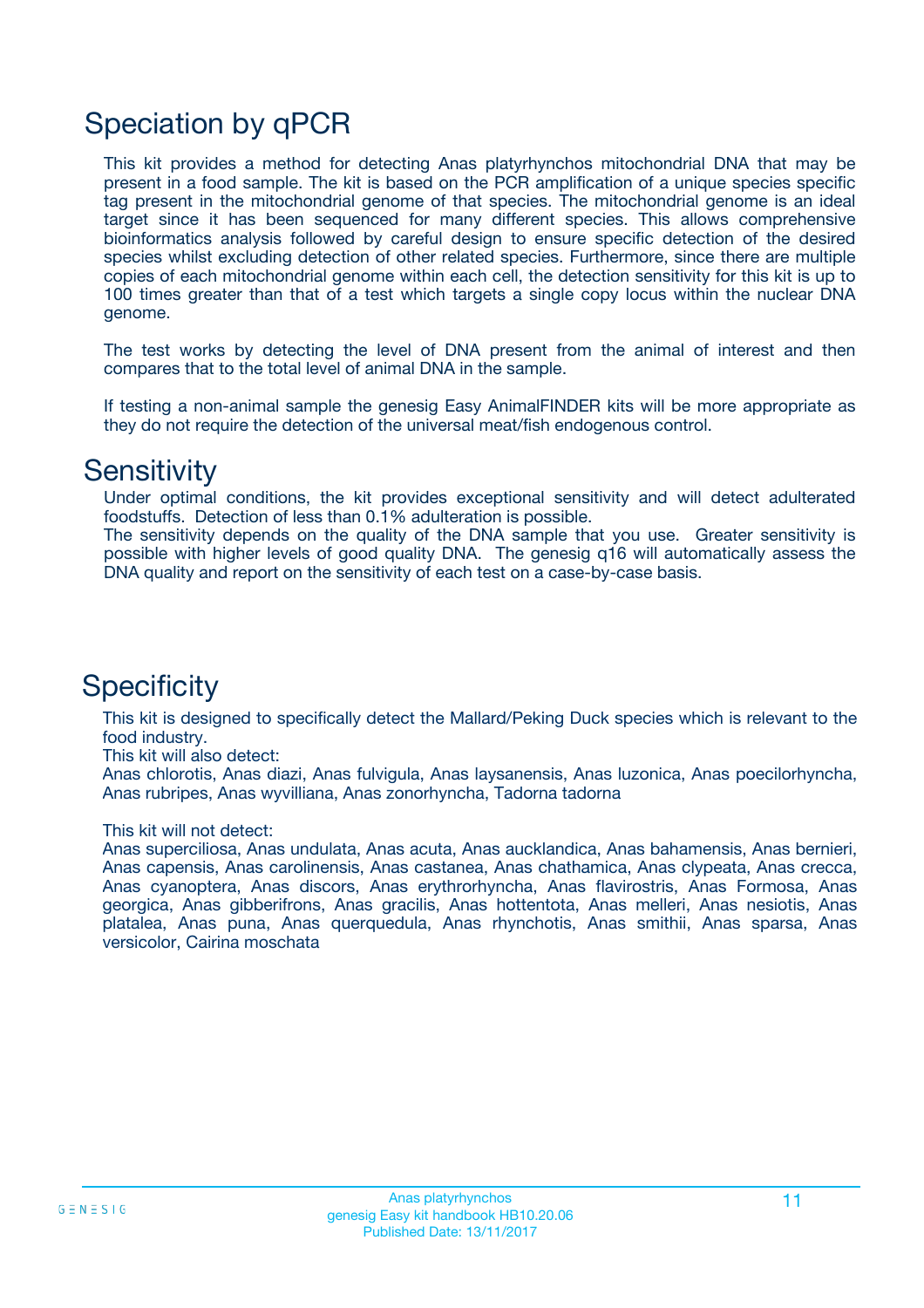# Speciation by qPCR

This kit provides a method for detecting Anas platyrhynchos mitochondrial DNA that may be present in a food sample. The kit is based on the PCR amplification of a unique species specific tag present in the mitochondrial genome of that species. The mitochondrial genome is an ideal target since it has been sequenced for many different species. This allows comprehensive bioinformatics analysis followed by careful design to ensure specific detection of the desired species whilst excluding detection of other related species. Furthermore, since there are multiple copies of each mitochondrial genome within each cell, the detection sensitivity for this kit is up to 100 times greater than that of a test which targets a single copy locus within the nuclear DNA genome.

The test works by detecting the level of DNA present from the animal of interest and then compares that to the total level of animal DNA in the sample.

If testing a non-animal sample the genesig Easy AnimalFINDER kits will be more appropriate as they do not require the detection of the universal meat/fish endogenous control.

### **Sensitivity**

Under optimal conditions, the kit provides exceptional sensitivity and will detect adulterated foodstuffs. Detection of less than 0.1% adulteration is possible.

The sensitivity depends on the quality of the DNA sample that you use. Greater sensitivity is possible with higher levels of good quality DNA. The genesig q16 will automatically assess the DNA quality and report on the sensitivity of each test on a case-by-case basis.

### **Specificity**

This kit is designed to specifically detect the Mallard/Peking Duck species which is relevant to the food industry.

This kit will also detect:

Anas chlorotis, Anas diazi, Anas fulvigula, Anas laysanensis, Anas luzonica, Anas poecilorhyncha, Anas rubripes, Anas wyvilliana, Anas zonorhyncha, Tadorna tadorna

#### This kit will not detect:

Anas superciliosa, Anas undulata, Anas acuta, Anas aucklandica, Anas bahamensis, Anas bernieri, Anas capensis, Anas carolinensis, Anas castanea, Anas chathamica, Anas clypeata, Anas crecca, Anas cyanoptera, Anas discors, Anas erythrorhyncha, Anas flavirostris, Anas Formosa, Anas georgica, Anas gibberifrons, Anas gracilis, Anas hottentota, Anas melleri, Anas nesiotis, Anas platalea, Anas puna, Anas querquedula, Anas rhynchotis, Anas smithii, Anas sparsa, Anas versicolor, Cairina moschata